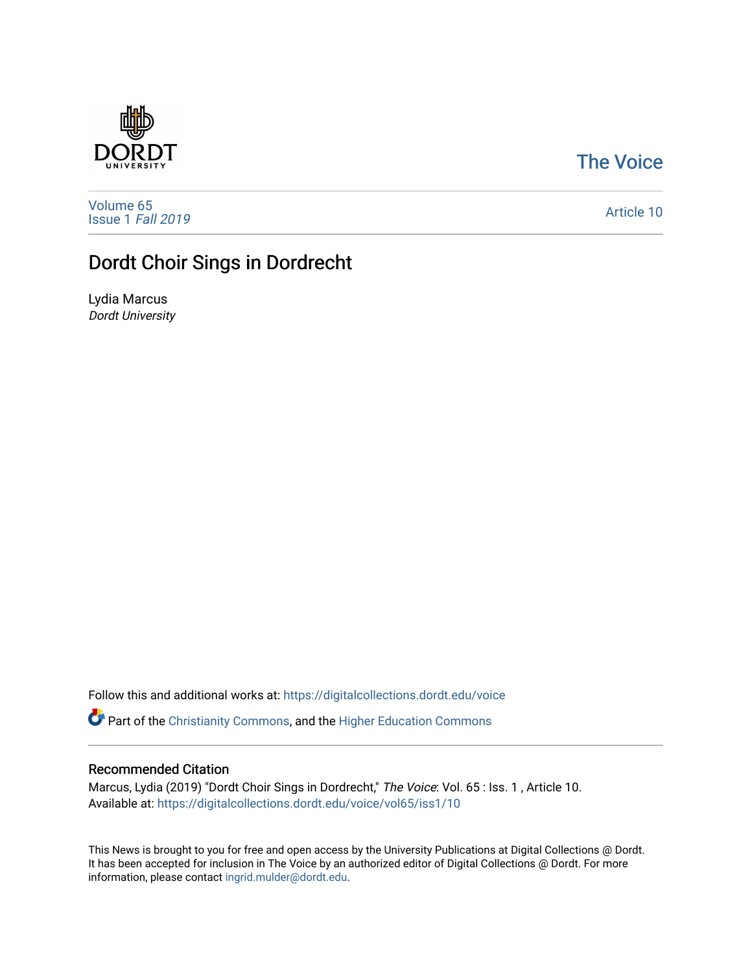## [The Voice](https://digitalcollections.dordt.edu/voice)

[Volume 65](https://digitalcollections.dordt.edu/voice/vol65) [Issue 1](https://digitalcollections.dordt.edu/voice/vol65/iss1) Fall 2019

[Article 10](https://digitalcollections.dordt.edu/voice/vol65/iss1/10) 

# Dordt Choir Sings in Dordrecht

Lydia Marcus Dordt University

Follow this and additional works at: [https://digitalcollections.dordt.edu/voice](https://digitalcollections.dordt.edu/voice?utm_source=digitalcollections.dordt.edu%2Fvoice%2Fvol65%2Fiss1%2F10&utm_medium=PDF&utm_campaign=PDFCoverPages) 

Part of the [Christianity Commons,](http://network.bepress.com/hgg/discipline/1181?utm_source=digitalcollections.dordt.edu%2Fvoice%2Fvol65%2Fiss1%2F10&utm_medium=PDF&utm_campaign=PDFCoverPages) and the [Higher Education Commons](http://network.bepress.com/hgg/discipline/1245?utm_source=digitalcollections.dordt.edu%2Fvoice%2Fvol65%2Fiss1%2F10&utm_medium=PDF&utm_campaign=PDFCoverPages) 

### Recommended Citation

Marcus, Lydia (2019) "Dordt Choir Sings in Dordrecht," The Voice: Vol. 65 : Iss. 1 , Article 10. Available at: [https://digitalcollections.dordt.edu/voice/vol65/iss1/10](https://digitalcollections.dordt.edu/voice/vol65/iss1/10?utm_source=digitalcollections.dordt.edu%2Fvoice%2Fvol65%2Fiss1%2F10&utm_medium=PDF&utm_campaign=PDFCoverPages)

This News is brought to you for free and open access by the University Publications at Digital Collections @ Dordt. It has been accepted for inclusion in The Voice by an authorized editor of Digital Collections @ Dordt. For more information, please contact [ingrid.mulder@dordt.edu.](mailto:ingrid.mulder@dordt.edu)